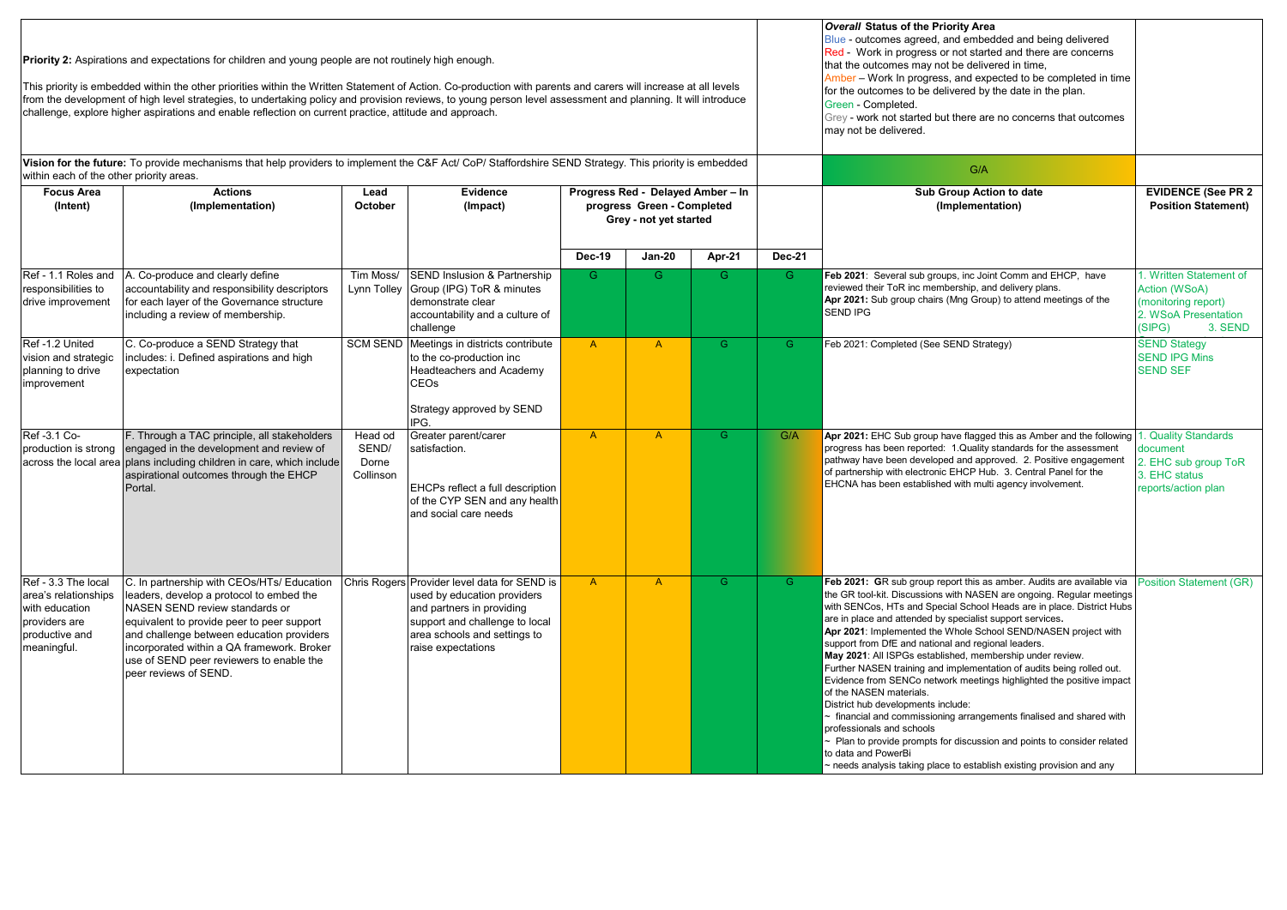| Priority 2: Aspirations and expectations for children and young people are not routinely high enough.<br>This priority is embedded within the other priorities within the Written Statement of Action. Co-production with parents and carers will increase at all levels<br>from the development of high level strategies, to undertaking policy and provision reviews, to young person level assessment and planning. It will introduce<br>challenge, explore higher aspirations and enable reflection on current practice, attitude and approach. |                                                                                                                                                                                                                                                                                                                                        |                                        |                                                                                                                                                                                     |                                                                                           |                |                |               | <b>Overall Status of the Priority Area</b><br>Blue - outcomes agreed, and embedded and being delivered<br>Red - Work in progress or not started and there are concerns<br>that the outcomes may not be delivered in time,<br>Amber - Work In progress, and expected to be completed in time<br>for the outcomes to be delivered by the date in the plan.<br>Green - Completed.<br>Grey - work not started but there are no concerns that outcomes<br>may not be delivered.                                                                                                                                                                                                                                                                                                                                                                                                                                                                                                   |                                                                                                                    |
|-----------------------------------------------------------------------------------------------------------------------------------------------------------------------------------------------------------------------------------------------------------------------------------------------------------------------------------------------------------------------------------------------------------------------------------------------------------------------------------------------------------------------------------------------------|----------------------------------------------------------------------------------------------------------------------------------------------------------------------------------------------------------------------------------------------------------------------------------------------------------------------------------------|----------------------------------------|-------------------------------------------------------------------------------------------------------------------------------------------------------------------------------------|-------------------------------------------------------------------------------------------|----------------|----------------|---------------|------------------------------------------------------------------------------------------------------------------------------------------------------------------------------------------------------------------------------------------------------------------------------------------------------------------------------------------------------------------------------------------------------------------------------------------------------------------------------------------------------------------------------------------------------------------------------------------------------------------------------------------------------------------------------------------------------------------------------------------------------------------------------------------------------------------------------------------------------------------------------------------------------------------------------------------------------------------------------|--------------------------------------------------------------------------------------------------------------------|
| Vision for the future: To provide mechanisms that help providers to implement the C&F Act/ CoP/ Staffordshire SEND Strategy. This priority is embedded<br>within each of the other priority areas.                                                                                                                                                                                                                                                                                                                                                  |                                                                                                                                                                                                                                                                                                                                        |                                        |                                                                                                                                                                                     |                                                                                           |                |                |               | G/A                                                                                                                                                                                                                                                                                                                                                                                                                                                                                                                                                                                                                                                                                                                                                                                                                                                                                                                                                                          |                                                                                                                    |
| <b>Focus Area</b><br>(Intent)                                                                                                                                                                                                                                                                                                                                                                                                                                                                                                                       | <b>Actions</b><br>(Implementation)                                                                                                                                                                                                                                                                                                     | Lead<br>October                        | Evidence<br>(Impact)                                                                                                                                                                | Progress Red - Delayed Amber - In<br>progress Green - Completed<br>Grey - not yet started |                |                |               | Sub Group Action to date<br>(Implementation)                                                                                                                                                                                                                                                                                                                                                                                                                                                                                                                                                                                                                                                                                                                                                                                                                                                                                                                                 | <b>EVIDENCE (See PR 2</b><br><b>Position Statement)</b>                                                            |
|                                                                                                                                                                                                                                                                                                                                                                                                                                                                                                                                                     |                                                                                                                                                                                                                                                                                                                                        |                                        |                                                                                                                                                                                     | <b>Dec-19</b>                                                                             | $Jan-20$       | Apr-21         | <b>Dec-21</b> |                                                                                                                                                                                                                                                                                                                                                                                                                                                                                                                                                                                                                                                                                                                                                                                                                                                                                                                                                                              |                                                                                                                    |
| Ref - 1.1 Roles and<br>responsibilities to<br>drive improvement                                                                                                                                                                                                                                                                                                                                                                                                                                                                                     | A. Co-produce and clearly define<br>accountability and responsibility descriptors<br>for each layer of the Governance structure<br>including a review of membership.                                                                                                                                                                   | Tim Moss/<br>Lynn Tolley               | SEND Inslusion & Partnership<br>Group (IPG) ToR & minutes<br>demonstrate clear<br>accountability and a culture of<br>challenge                                                      | G.                                                                                        | G.             | G.             | G.            | Feb 2021: Several sub groups, inc Joint Comm and EHCP, have<br>reviewed their ToR inc membership, and delivery plans.<br>Apr 2021: Sub group chairs (Mng Group) to attend meetings of the<br>SEND IPG                                                                                                                                                                                                                                                                                                                                                                                                                                                                                                                                                                                                                                                                                                                                                                        | 1. Written Statement of<br><b>Action (WSoA)</b><br>monitoring report)<br>2. WSoA Presentation<br>(SIPG)<br>3. SEND |
| Ref -1.2 United<br>vision and strategic<br>planning to drive<br>improvement                                                                                                                                                                                                                                                                                                                                                                                                                                                                         | C. Co-produce a SEND Strategy that<br>includes: i. Defined aspirations and high<br>expectation                                                                                                                                                                                                                                         |                                        | SCM SEND Meetings in districts contribute<br>to the co-production inc<br><b>Headteachers and Academy</b><br><b>CEOs</b><br>Strategy approved by SEND<br>IPG.                        | $\overline{A}$                                                                            | $\mathsf{A}$   | $\mathsf{G}$   | G.            | Feb 2021: Completed (See SEND Strategy)                                                                                                                                                                                                                                                                                                                                                                                                                                                                                                                                                                                                                                                                                                                                                                                                                                                                                                                                      | <b>SEND Stategy</b><br><b>SEND IPG Mins</b><br><b>SEND SEF</b>                                                     |
| Ref -3.1 Co-<br>production is strong<br>across the local area                                                                                                                                                                                                                                                                                                                                                                                                                                                                                       | F. Through a TAC principle, all stakeholders<br>engaged in the development and review of<br>plans including children in care, which include<br>aspirational outcomes through the EHCP<br>Portal.                                                                                                                                       | Head od<br>SEND/<br>Dorne<br>Collinson | Greater parent/carer<br>satisfaction.<br>EHCPs reflect a full description<br>of the CYP SEN and any health<br>and social care needs                                                 | $\overline{A}$                                                                            | $\overline{A}$ | $\overline{G}$ | G/A           | Apr 2021: EHC Sub group have flagged this as Amber and the following<br>progress has been reported: 1. Quality standards for the assessment<br>pathway have been developed and approved. 2. Positive engagement<br>of partnership with electronic EHCP Hub. 3. Central Panel for the<br>EHCNA has been established with multi agency involvement.                                                                                                                                                                                                                                                                                                                                                                                                                                                                                                                                                                                                                            | 1. Quality Standards<br>document<br>2. EHC sub group ToR<br>3. EHC status<br>reports/action plan                   |
| Ref - 3.3 The local<br>area's relationships<br>with education<br>providers are<br>productive and<br>meaningful.                                                                                                                                                                                                                                                                                                                                                                                                                                     | C. In partnership with CEOs/HTs/ Education<br>leaders, develop a protocol to embed the<br>NASEN SEND review standards or<br>equivalent to provide peer to peer support<br>and challenge between education providers<br>incorporated within a QA framework. Broker<br>use of SEND peer reviewers to enable the<br>peer reviews of SEND. | <b>Chris Rogers</b>                    | Provider level data for SEND is<br>used by education providers<br>and partners in providing<br>support and challenge to local<br>area schools and settings to<br>raise expectations | $\overline{A}$                                                                            | $\overline{A}$ | $\overline{G}$ | G.            | Feb 2021: GR sub group report this as amber. Audits are available via<br>the GR tool-kit. Discussions with NASEN are ongoing. Regular meetings<br>with SENCos, HTs and Special School Heads are in place. District Hubs<br>are in place and attended by specialist support services.<br>Apr 2021: Implemented the Whole School SEND/NASEN project with<br>support from DfE and national and regional leaders.<br>May 2021: All ISPGs established, membership under review.<br>Further NASEN training and implementation of audits being rolled out.<br>Evidence from SENCo network meetings highlighted the positive impact<br>of the NASEN materials.<br>District hub developments include:<br>- financial and commissioning arrangements finalised and shared with<br>professionals and schools<br>- Plan to provide prompts for discussion and points to consider related<br>to data and PowerBi<br>- needs analysis taking place to establish existing provision and any | Position Statement (GR)                                                                                            |